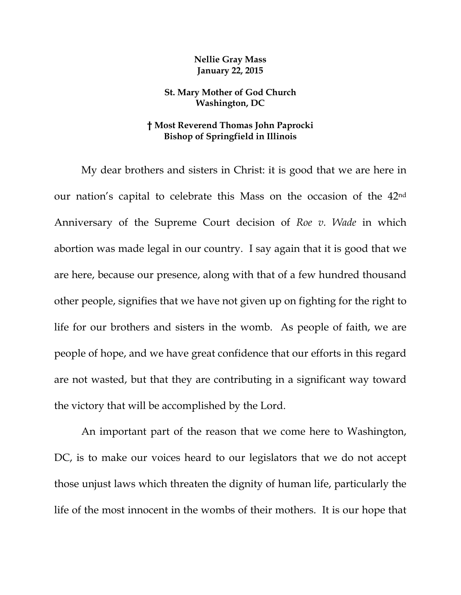## **Nellie Gray Mass January 22, 2015**

## **St. Mary Mother of God Church Washington, DC**

## **† Most Reverend Thomas John Paprocki Bishop of Springfield in Illinois**

My dear brothers and sisters in Christ: it is good that we are here in our nation's capital to celebrate this Mass on the occasion of the 42nd Anniversary of the Supreme Court decision of *Roe v. Wade* in which abortion was made legal in our country. I say again that it is good that we are here, because our presence, along with that of a few hundred thousand other people, signifies that we have not given up on fighting for the right to life for our brothers and sisters in the womb. As people of faith, we are people of hope, and we have great confidence that our efforts in this regard are not wasted, but that they are contributing in a significant way toward the victory that will be accomplished by the Lord.

An important part of the reason that we come here to Washington, DC, is to make our voices heard to our legislators that we do not accept those unjust laws which threaten the dignity of human life, particularly the life of the most innocent in the wombs of their mothers. It is our hope that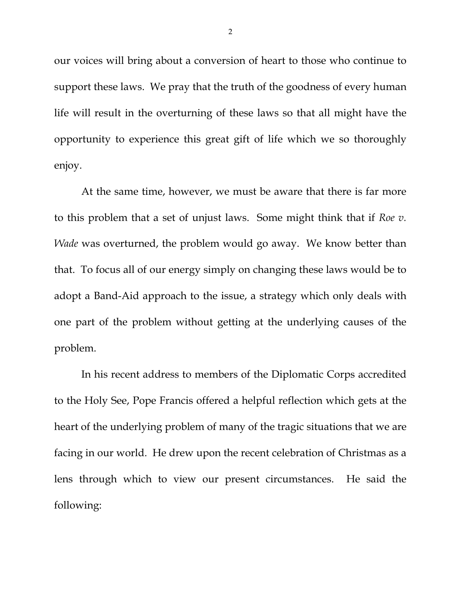our voices will bring about a conversion of heart to those who continue to support these laws. We pray that the truth of the goodness of every human life will result in the overturning of these laws so that all might have the opportunity to experience this great gift of life which we so thoroughly enjoy.

At the same time, however, we must be aware that there is far more to this problem that a set of unjust laws. Some might think that if *Roe v. Wade* was overturned, the problem would go away. We know better than that. To focus all of our energy simply on changing these laws would be to adopt a Band-Aid approach to the issue, a strategy which only deals with one part of the problem without getting at the underlying causes of the problem.

In his recent address to members of the Diplomatic Corps accredited to the Holy See, Pope Francis offered a helpful reflection which gets at the heart of the underlying problem of many of the tragic situations that we are facing in our world. He drew upon the recent celebration of Christmas as a lens through which to view our present circumstances. He said the following: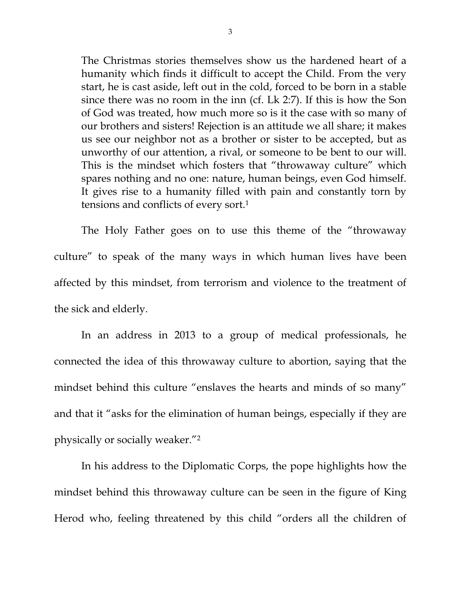The Christmas stories themselves show us the hardened heart of a humanity which finds it difficult to accept the Child. From the very start, he is cast aside, left out in the cold, forced to be born in a stable since there was no room in the inn (cf. Lk 2:7). If this is how the Son of God was treated, how much more so is it the case with so many of our brothers and sisters! Rejection is an attitude we all share; it makes us see our neighbor not as a brother or sister to be accepted, but as unworthy of our attention, a rival, or someone to be bent to our will. This is the mindset which fosters that "throwaway culture" which spares nothing and no one: nature, human beings, even God himself. It gives rise to a humanity filled with pain and constantly torn by tensions and conflicts of every sort.1

The Holy Father goes on to use this theme of the "throwaway culture" to speak of the many ways in which human lives have been affected by this mindset, from terrorism and violence to the treatment of the sick and elderly.

 In an address in 2013 to a group of medical professionals, he connected the idea of this throwaway culture to abortion, saying that the mindset behind this culture "enslaves the hearts and minds of so many" and that it "asks for the elimination of human beings, especially if they are physically or socially weaker."2

 In his address to the Diplomatic Corps, the pope highlights how the mindset behind this throwaway culture can be seen in the figure of King Herod who, feeling threatened by this child "orders all the children of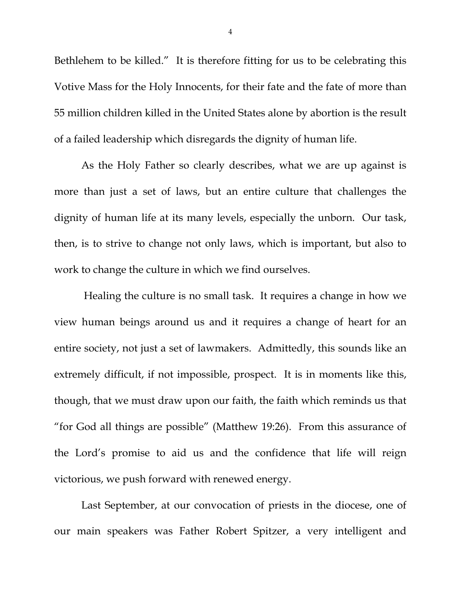Bethlehem to be killed." It is therefore fitting for us to be celebrating this Votive Mass for the Holy Innocents, for their fate and the fate of more than 55 million children killed in the United States alone by abortion is the result of a failed leadership which disregards the dignity of human life.

 As the Holy Father so clearly describes, what we are up against is more than just a set of laws, but an entire culture that challenges the dignity of human life at its many levels, especially the unborn. Our task, then, is to strive to change not only laws, which is important, but also to work to change the culture in which we find ourselves.

 Healing the culture is no small task. It requires a change in how we view human beings around us and it requires a change of heart for an entire society, not just a set of lawmakers. Admittedly, this sounds like an extremely difficult, if not impossible, prospect. It is in moments like this, though, that we must draw upon our faith, the faith which reminds us that "for God all things are possible" (Matthew 19:26). From this assurance of the Lord's promise to aid us and the confidence that life will reign victorious, we push forward with renewed energy.

 Last September, at our convocation of priests in the diocese, one of our main speakers was Father Robert Spitzer, a very intelligent and

4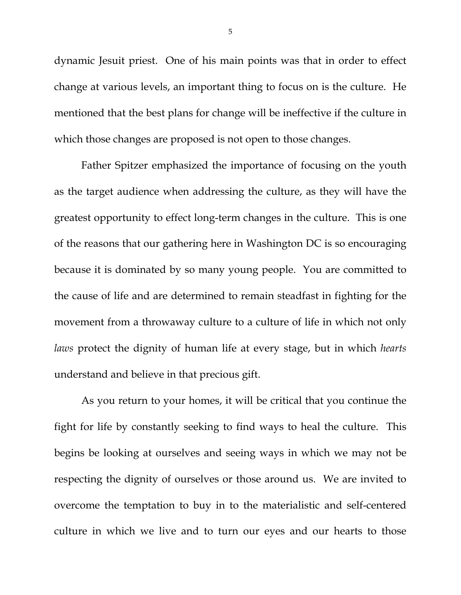dynamic Jesuit priest. One of his main points was that in order to effect change at various levels, an important thing to focus on is the culture. He mentioned that the best plans for change will be ineffective if the culture in which those changes are proposed is not open to those changes.

 Father Spitzer emphasized the importance of focusing on the youth as the target audience when addressing the culture, as they will have the greatest opportunity to effect long-term changes in the culture. This is one of the reasons that our gathering here in Washington DC is so encouraging because it is dominated by so many young people. You are committed to the cause of life and are determined to remain steadfast in fighting for the movement from a throwaway culture to a culture of life in which not only *laws* protect the dignity of human life at every stage, but in which *hearts* understand and believe in that precious gift.

 As you return to your homes, it will be critical that you continue the fight for life by constantly seeking to find ways to heal the culture. This begins be looking at ourselves and seeing ways in which we may not be respecting the dignity of ourselves or those around us. We are invited to overcome the temptation to buy in to the materialistic and self-centered culture in which we live and to turn our eyes and our hearts to those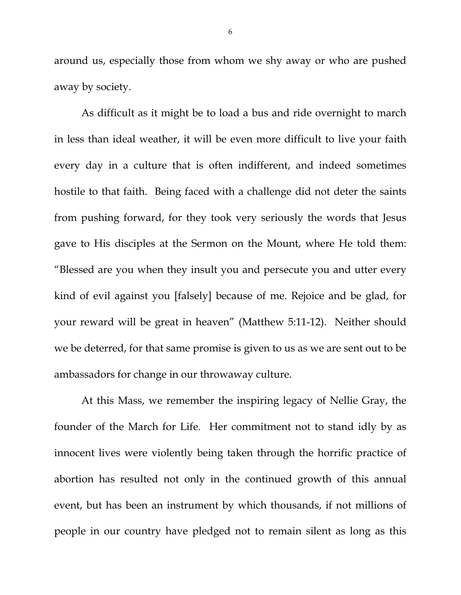around us, especially those from whom we shy away or who are pushed away by society.

 As difficult as it might be to load a bus and ride overnight to march in less than ideal weather, it will be even more difficult to live your faith every day in a culture that is often indifferent, and indeed sometimes hostile to that faith. Being faced with a challenge did not deter the saints from pushing forward, for they took very seriously the words that Jesus gave to His disciples at the Sermon on the Mount, where He told them: "Blessed are you when they insult you and persecute you and utter every kind of evil against you [falsely] because of me. Rejoice and be glad, for your reward will be great in heaven" (Matthew 5:11-12). Neither should we be deterred, for that same promise is given to us as we are sent out to be ambassadors for change in our throwaway culture.

 At this Mass, we remember the inspiring legacy of Nellie Gray, the founder of the March for Life. Her commitment not to stand idly by as innocent lives were violently being taken through the horrific practice of abortion has resulted not only in the continued growth of this annual event, but has been an instrument by which thousands, if not millions of people in our country have pledged not to remain silent as long as this